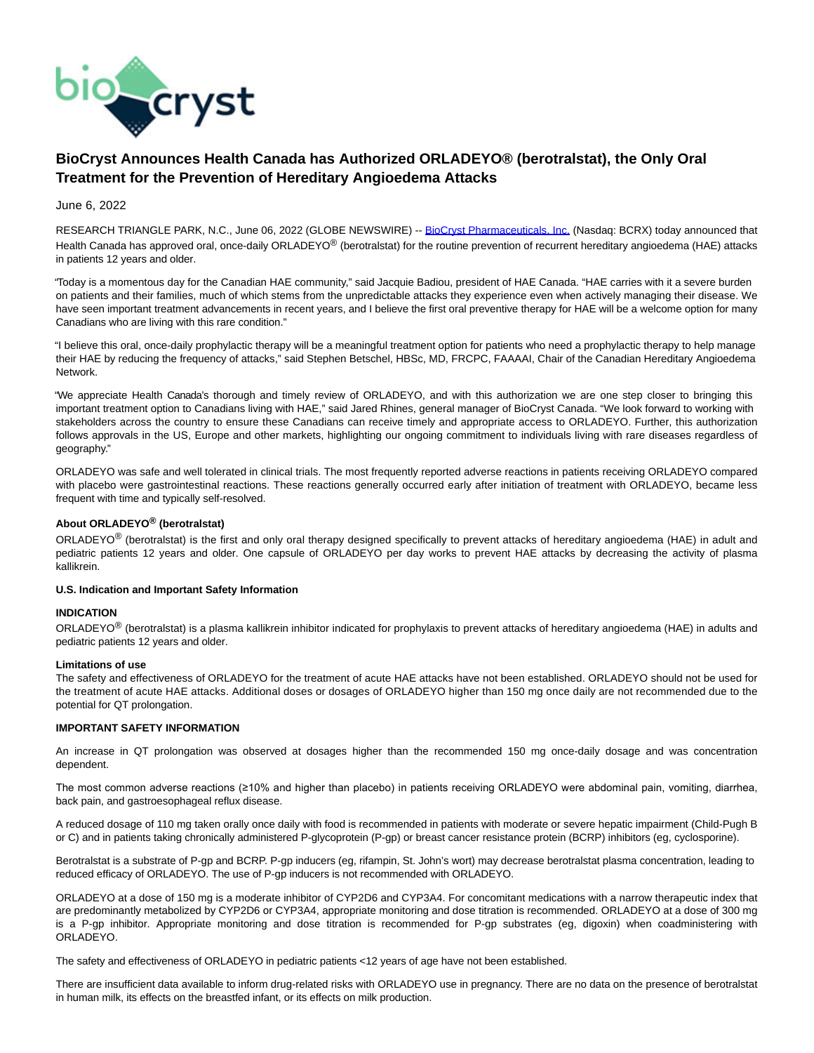

# **BioCryst Announces Health Canada has Authorized ORLADEYO® (berotralstat), the Only Oral Treatment for the Prevention of Hereditary Angioedema Attacks**

# June 6, 2022

RESEARCH TRIANGLE PARK, N.C., June 06, 2022 (GLOBE NEWSWIRE) -- [BioCryst Pharmaceuticals, Inc. \(](https://www.globenewswire.com/Tracker?data=qyjaoecwWMNd2oSWJEBnjkNWO7qHY0Pd6a_n6ETDIY7XW0yWWdbDRArFv4EWZl-WuimXaPLW3sJMZe0VTkP4985Xbg6bCvsxuz0dEIwFExc=)Nasdaq: BCRX) today announced that Health Canada has approved oral, once-daily ORLADEYO® (berotralstat) for the routine prevention of recurrent hereditary angioedema (HAE) attacks in patients 12 years and older.

"Today is a momentous day for the Canadian HAE community," said Jacquie Badiou, president of HAE Canada. "HAE carries with it a severe burden on patients and their families, much of which stems from the unpredictable attacks they experience even when actively managing their disease. We have seen important treatment advancements in recent years, and I believe the first oral preventive therapy for HAE will be a welcome option for many Canadians who are living with this rare condition."

"I believe this oral, once-daily prophylactic therapy will be a meaningful treatment option for patients who need a prophylactic therapy to help manage their HAE by reducing the frequency of attacks," said Stephen Betschel, HBSc, MD, FRCPC, FAAAAI, Chair of the Canadian Hereditary Angioedema Network.

"We appreciate Health Canada's thorough and timely review of ORLADEYO, and with this authorization we are one step closer to bringing this important treatment option to Canadians living with HAE," said Jared Rhines, general manager of BioCryst Canada. "We look forward to working with stakeholders across the country to ensure these Canadians can receive timely and appropriate access to ORLADEYO. Further, this authorization follows approvals in the US, Europe and other markets, highlighting our ongoing commitment to individuals living with rare diseases regardless of geography."

ORLADEYO was safe and well tolerated in clinical trials. The most frequently reported adverse reactions in patients receiving ORLADEYO compared with placebo were gastrointestinal reactions. These reactions generally occurred early after initiation of treatment with ORLADEYO, became less frequent with time and typically self-resolved.

# **About ORLADEYO® (berotralstat)**

ORLADEYO® (berotralstat) is the first and only oral therapy designed specifically to prevent attacks of hereditary angioedema (HAE) in adult and pediatric patients 12 years and older. One capsule of ORLADEYO per day works to prevent HAE attacks by decreasing the activity of plasma kallikrein.

# **U.S. Indication and Important Safety Information**

# **INDICATION**

ORLADEYO<sup>®</sup> (berotralstat) is a plasma kallikrein inhibitor indicated for prophylaxis to prevent attacks of hereditary angioedema (HAE) in adults and pediatric patients 12 years and older.

# **Limitations of use**

The safety and effectiveness of ORLADEYO for the treatment of acute HAE attacks have not been established. ORLADEYO should not be used for the treatment of acute HAE attacks. Additional doses or dosages of ORLADEYO higher than 150 mg once daily are not recommended due to the potential for QT prolongation.

# **IMPORTANT SAFETY INFORMATION**

An increase in QT prolongation was observed at dosages higher than the recommended 150 mg once-daily dosage and was concentration dependent.

The most common adverse reactions (≥10% and higher than placebo) in patients receiving ORLADEYO were abdominal pain, vomiting, diarrhea, back pain, and gastroesophageal reflux disease.

A reduced dosage of 110 mg taken orally once daily with food is recommended in patients with moderate or severe hepatic impairment (Child-Pugh B or C) and in patients taking chronically administered P-glycoprotein (P-gp) or breast cancer resistance protein (BCRP) inhibitors (eg, cyclosporine).

Berotralstat is a substrate of P-gp and BCRP. P-gp inducers (eg, rifampin, St. John's wort) may decrease berotralstat plasma concentration, leading to reduced efficacy of ORLADEYO. The use of P-gp inducers is not recommended with ORLADEYO.

ORLADEYO at a dose of 150 mg is a moderate inhibitor of CYP2D6 and CYP3A4. For concomitant medications with a narrow therapeutic index that are predominantly metabolized by CYP2D6 or CYP3A4, appropriate monitoring and dose titration is recommended. ORLADEYO at a dose of 300 mg is a P-gp inhibitor. Appropriate monitoring and dose titration is recommended for P-gp substrates (eg, digoxin) when coadministering with ORLADEYO.

The safety and effectiveness of ORLADEYO in pediatric patients <12 years of age have not been established.

There are insufficient data available to inform drug-related risks with ORLADEYO use in pregnancy. There are no data on the presence of berotralstat in human milk, its effects on the breastfed infant, or its effects on milk production.